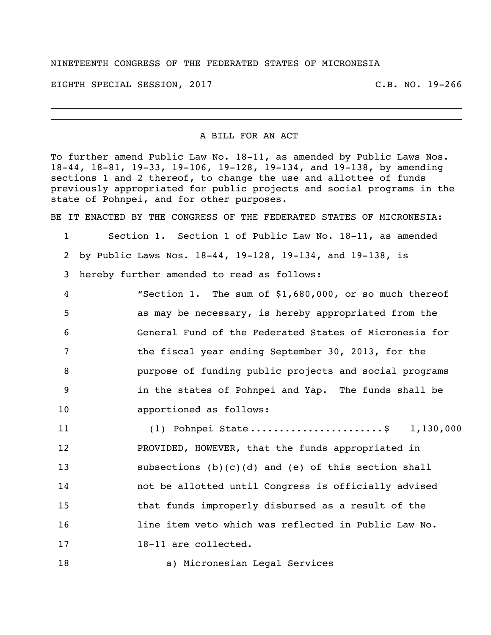## NINETEENTH CONGRESS OF THE FEDERATED STATES OF MICRONESIA

EIGHTH SPECIAL SESSION, 2017 C.B. NO. 19-266

## A BILL FOR AN ACT

To further amend Public Law No. 18-11, as amended by Public Laws Nos. 18-44, 18-81, 19-33, 19-106, 19-128, 19-134, and 19-138, by amending sections 1 and 2 thereof, to change the use and allottee of funds previously appropriated for public projects and social programs in the state of Pohnpei, and for other purposes.

BE IT ENACTED BY THE CONGRESS OF THE FEDERATED STATES OF MICRONESIA:

- Section 1. Section 1 of Public Law No. 18-11, as amended by Public Laws Nos. 18-44, 19-128, 19-134, and 19-138, is hereby further amended to read as follows:
- "Section 1. The sum of \$1,680,000, or so much thereof as may be necessary, is hereby appropriated from the General Fund of the Federated States of Micronesia for the fiscal year ending September 30, 2013, for the purpose of funding public projects and social programs in the states of Pohnpei and Yap. The funds shall be
- apportioned as follows:
- (1) Pohnpei State .......................\$ 1,130,000 PROVIDED, HOWEVER, that the funds appropriated in subsections (b)(c)(d) and (e) of this section shall not be allotted until Congress is officially advised that funds improperly disbursed as a result of the 16 16 line item veto which was reflected in Public Law No. 18-11 are collected.
- a) Micronesian Legal Services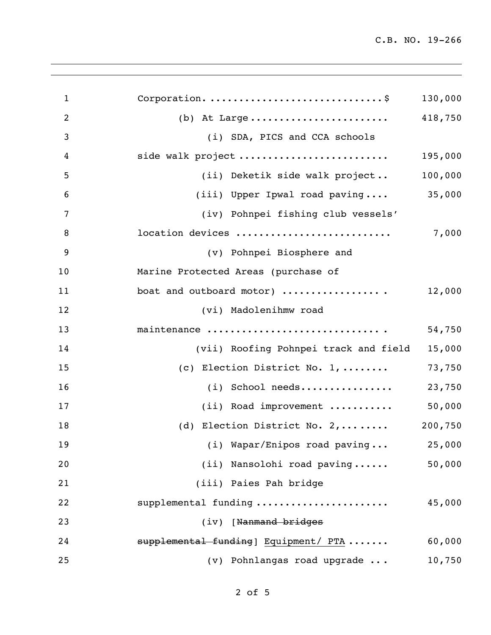| $\mathbf{1}$   |                                       | 130,000 |
|----------------|---------------------------------------|---------|
| $\overline{2}$ | (b) At Large                          | 418,750 |
| $\mathfrak{Z}$ | (i) SDA, PICS and CCA schools         |         |
| 4              | side walk project                     | 195,000 |
| 5              | (ii) Deketik side walk project        | 100,000 |
| 6              | (iii) Upper Ipwal road paving         | 35,000  |
| 7              | (iv) Pohnpei fishing club vessels'    |         |
| 8              | location devices                      | 7,000   |
| 9              | (v) Pohnpei Biosphere and             |         |
| 10             | Marine Protected Areas (purchase of   |         |
| 11             | boat and outboard motor)              | 12,000  |
| 12             | (vi) Madolenihmw road                 |         |
| 13             | maintenance                           | 54,750  |
| 14             | (vii) Roofing Pohnpei track and field | 15,000  |
| 15             | (c) Election District No. 1,          | 73,750  |
| 16             | (i) School needs                      | 23,750  |
| 17             | (ii) Road improvement                 | 50,000  |
| 18             | (d) Election District No. 2,          | 200,750 |
| 19             | (i) Wapar/Enipos road paving          | 25,000  |
| 20             | (ii) Nansolohi road paving            | 50,000  |
| 21             | (iii) Paies Pah bridge                |         |
| 22             | supplemental funding                  | 45,000  |
| 23             | (iv) [Nanmand bridges                 |         |
| 24             | supplemental funding   Equipment/ PTA | 60,000  |
| 25             | (v) Pohnlangas road upgrade           | 10,750  |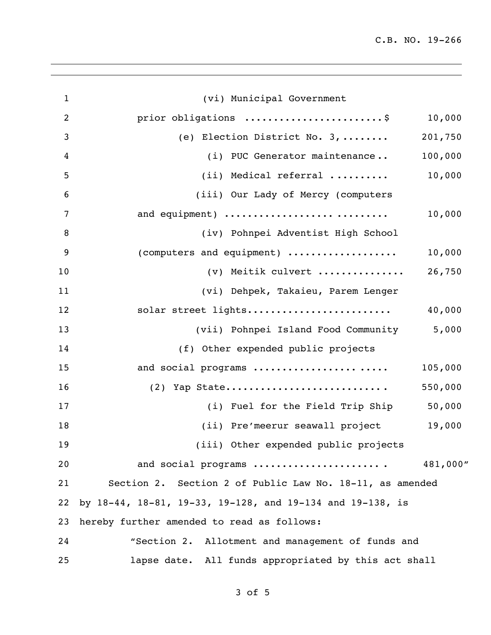C.B. NO. 19-266

| $\mathbf{1}$   | (vi) Municipal Government                                 |          |
|----------------|-----------------------------------------------------------|----------|
| $\overline{2}$ | prior obligations \$                                      | 10,000   |
| 3              | (e) Election District No. 3,                              | 201,750  |
| 4              | (i) PUC Generator maintenance                             | 100,000  |
| 5              | (ii) Medical referral                                     | 10,000   |
| 6              | (iii) Our Lady of Mercy (computers                        |          |
| $\overline{7}$ | and equipment)                                            | 10,000   |
| 8              | (iv) Pohnpei Adventist High School                        |          |
| 9              | (computers and equipment)                                 | 10,000   |
| 10             | (v) Meitik culvert                                        | 26,750   |
| 11             | (vi) Dehpek, Takaieu, Parem Lenger                        |          |
| 12             | solar street lights                                       | 40,000   |
| 13             | (vii) Pohnpei Island Food Community                       | 5,000    |
| 14             | (f) Other expended public projects                        |          |
| 15             | and social programs                                       | 105,000  |
| 16             | $(2)$ Yap State                                           | 550,000  |
| 17             | (i) Fuel for the Field Trip Ship                          | 50,000   |
| 18             | (ii) Pre'meerur seawall project                           | 19,000   |
| 19             | (iii) Other expended public projects                      |          |
| 20             | and social programs                                       | 481,000" |
| 21             | Section 2. Section 2 of Public Law No. 18-11, as amended  |          |
| 22             | by 18-44, 18-81, 19-33, 19-128, and 19-134 and 19-138, is |          |
| 23             | hereby further amended to read as follows:                |          |
| 24             | "Section 2. Allotment and management of funds and         |          |
| 25             | lapse date. All funds appropriated by this act shall      |          |

of 5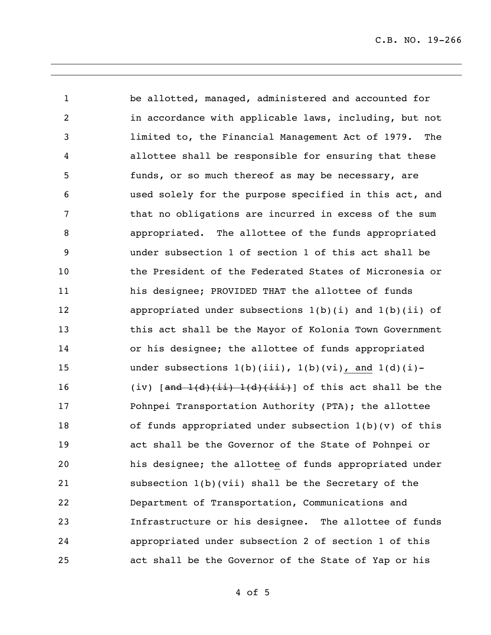be allotted, managed, administered and accounted for in accordance with applicable laws, including, but not limited to, the Financial Management Act of 1979. The allottee shall be responsible for ensuring that these funds, or so much thereof as may be necessary, are used solely for the purpose specified in this act, and 7 that no obligations are incurred in excess of the sum appropriated. The allottee of the funds appropriated under subsection 1 of section 1 of this act shall be the President of the Federated States of Micronesia or his designee; PROVIDED THAT the allottee of funds 12 appropriated under subsections 1(b)(i) and 1(b)(ii) of this act shall be the Mayor of Kolonia Town Government or his designee; the allottee of funds appropriated 15 under subsections  $1(b)(iii)$ ,  $1(b)(vi)$ , and  $1(d)(i)$ -16 (iv)  $\left[\frac{and -1(d)(i\pm i) - 1(d)(i\pm i)}{d} \right]$  of this act shall be the Pohnpei Transportation Authority (PTA); the allottee of funds appropriated under subsection 1(b)(v) of this act shall be the Governor of the State of Pohnpei or his designee; the allottee of funds appropriated under subsection 1(b)(vii) shall be the Secretary of the Department of Transportation, Communications and Infrastructure or his designee. The allottee of funds appropriated under subsection 2 of section 1 of this act shall be the Governor of the State of Yap or his

of 5